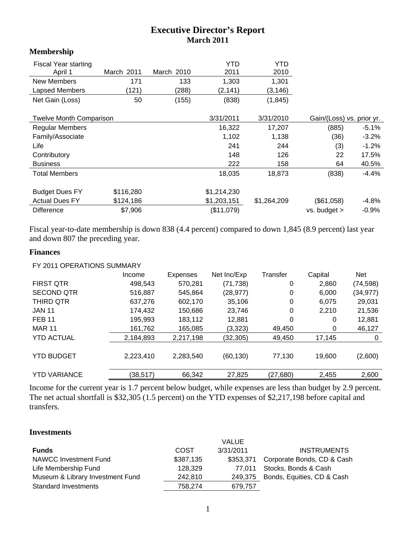# **Executive Director's Report March 2011**

## **Membership**

| <b>Fiscal Year starting</b><br>April 1 | March 2011 | March 2010 | <b>YTD</b><br>2011 | YTD<br>2010 |                           |         |
|----------------------------------------|------------|------------|--------------------|-------------|---------------------------|---------|
| New Members                            | 171        | 133        | 1,303              | 1,301       |                           |         |
| Lapsed Members                         | (121)      | (288)      | (2,141)            | (3, 146)    |                           |         |
| Net Gain (Loss)                        | 50         | (155)      | (838)              | (1, 845)    |                           |         |
| <b>Twelve Month Comparison</b>         |            |            | 3/31/2011          | 3/31/2010   | Gain/(Loss) vs. prior yr. |         |
| <b>Regular Members</b>                 |            |            | 16,322             | 17,207      | (885)                     | $-5.1%$ |
| Family/Associate                       |            |            | 1,102              | 1,138       | (36)                      | $-3.2%$ |
| Life                                   |            |            | 241                | 244         | (3)                       | $-1.2%$ |
| Contributory                           |            |            | 148                | 126         | 22                        | 17.5%   |
| <b>Business</b>                        |            |            | 222                | 158         | 64                        | 40.5%   |
| <b>Total Members</b>                   |            |            | 18,035             | 18,873      | (838)                     | $-4.4%$ |
| <b>Budget Dues FY</b>                  | \$116,280  |            | \$1,214,230        |             |                           |         |
| <b>Actual Dues FY</b>                  | \$124,186  |            | \$1,203,151        | \$1,264,209 | (\$61,058)                | $-4.8%$ |
| <b>Difference</b>                      | \$7,906    |            | (\$11,079)         |             | vs. budget >              | $-0.9%$ |

Fiscal year-to-date membership is down 838 (4.4 percent) compared to down 1,845 (8.9 percent) last year and down 807 the preceding year.

#### **Finances**

#### FY 2011 OPERATIONS SUMMARY

|                     | Income    | Expenses  | Net Inc/Exp | Transfer | Capital | <b>Net</b> |
|---------------------|-----------|-----------|-------------|----------|---------|------------|
| <b>FIRST QTR</b>    | 498,543   | 570,281   | (71, 738)   | 0        | 2,860   | (74, 598)  |
| <b>SECOND QTR</b>   | 516,887   | 545,864   | (28, 977)   | 0        | 6,000   | (34, 977)  |
| THIRD QTR           | 637,276   | 602,170   | 35,106      | 0        | 6,075   | 29,031     |
| <b>JAN 11</b>       | 174,432   | 150,686   | 23,746      | 0        | 2,210   | 21,536     |
| <b>FEB 11</b>       | 195,993   | 183,112   | 12,881      | 0        | 0       | 12,881     |
| <b>MAR 11</b>       | 161,762   | 165,085   | (3,323)     | 49,450   | 0       | 46,127     |
| <b>YTD ACTUAL</b>   | 2,184,893 | 2,217,198 | (32, 305)   | 49,450   | 17,145  | 0          |
|                     |           |           |             |          |         |            |
| <b>YTD BUDGET</b>   | 2,223,410 | 2,283,540 | (60, 130)   | 77,130   | 19.600  | (2,600)    |
|                     |           |           |             |          |         |            |
| <b>YTD VARIANCE</b> | (38,517)  | 66,342    | 27,825      | (27,680) | 2,455   | 2,600      |

Income for the current year is 1.7 percent below budget, while expenses are less than budget by 2.9 percent. The net actual shortfall is \$32,305 (1.5 percent) on the YTD expenses of \$2,217,198 before capital and transfers.

#### **Investments**

|                                  |           | <b>VALUE</b> |                            |
|----------------------------------|-----------|--------------|----------------------------|
| <b>Funds</b>                     | COST      | 3/31/2011    | <b>INSTRUMENTS</b>         |
| NAWCC Investment Fund            | \$387,135 | \$353.371    | Corporate Bonds, CD & Cash |
| Life Membership Fund             | 128.329   | 77.011       | Stocks, Bonds & Cash       |
| Museum & Library Investment Fund | 242.810   | 249.375      | Bonds, Equities, CD & Cash |
| <b>Standard Investments</b>      | 758.274   | 679,757      |                            |
|                                  |           |              |                            |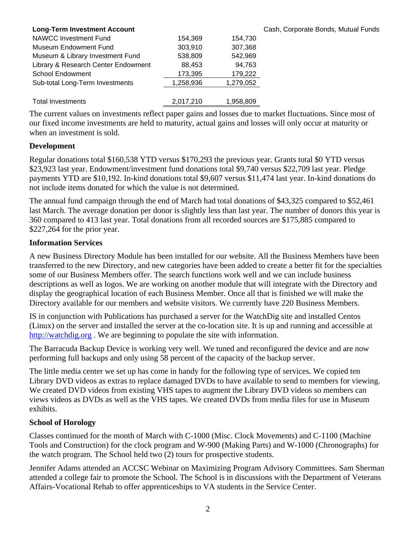| <b>Long-Term Investment Account</b> |           |           | Cash, Corporate Bonds, Mutual Funds |
|-------------------------------------|-----------|-----------|-------------------------------------|
| NAWCC Investment Fund               | 154,369   | 154.730   |                                     |
| Museum Endowment Fund               | 303,910   | 307,368   |                                     |
| Museum & Library Investment Fund    | 538,809   | 542.969   |                                     |
| Library & Research Center Endowment | 88.453    | 94.763    |                                     |
| <b>School Endowment</b>             | 173,395   | 179,222   |                                     |
| Sub-total Long-Term Investments     | 1,258,936 | 1,279,052 |                                     |
|                                     |           |           |                                     |
| <b>Total Investments</b>            | 2,017,210 | 1,958,809 |                                     |

The current values on investments reflect paper gains and losses due to market fluctuations. Since most of our fixed income investments are held to maturity, actual gains and losses will only occur at maturity or when an investment is sold.

#### **Development**

Regular donations total \$160,538 YTD versus \$170,293 the previous year. Grants total \$0 YTD versus \$23,923 last year. Endowment/investment fund donations total \$9,740 versus \$22,709 last year. Pledge payments YTD are \$10,192. In-kind donations total \$9,607 versus \$11,474 last year. In-kind donations do not include items donated for which the value is not determined.

The annual fund campaign through the end of March had total donations of \$43,325 compared to \$52,461 last March. The average donation per donor is slightly less than last year. The number of donors this year is 360 compared to 413 last year. Total donations from all recorded sources are \$175,885 compared to \$227,264 for the prior year.

#### **Information Services**

A new Business Directory Module has been installed for our website. All the Business Members have been transferred to the new Directory, and new categories have been added to create a better fit for the specialties some of our Business Members offer. The search functions work well and we can include business descriptions as well as logos. We are working on another module that will integrate with the Directory and display the geographical location of each Business Member. Once all that is finished we will make the Directory available for our members and website visitors. We currently have 220 Business Members.

IS in conjunction with Publications has purchased a server for the WatchDig site and installed Centos (Linux) on the server and installed the server at the co-location site. It is up and running and accessible at http://watchdig.org. We are beginning to populate the site with information.

The Barracuda Backup Device is working very well. We tuned and reconfigured the device and are now performing full backups and only using 58 percent of the capacity of the backup server.

The little media center we set up has come in handy for the following type of services. We copied ten Library DVD videos as extras to replace damaged DVDs to have available to send to members for viewing. We created DVD videos from existing VHS tapes to augment the Library DVD videos so members can views videos as DVDs as well as the VHS tapes. We created DVDs from media files for use in Museum exhibits.

### **School of Horology**

Classes continued for the month of March with C-1000 (Misc. Clock Movements) and C-1100 (Machine Tools and Construction) for the clock program and W-900 (Making Parts) and W-1000 (Chronographs) for the watch program. The School held two (2) tours for prospective students.

Jennifer Adams attended an ACCSC Webinar on Maximizing Program Advisory Committees. Sam Sherman attended a college fair to promote the School. The School is in discussions with the Department of Veterans Affairs-Vocational Rehab to offer apprenticeships to VA students in the Service Center.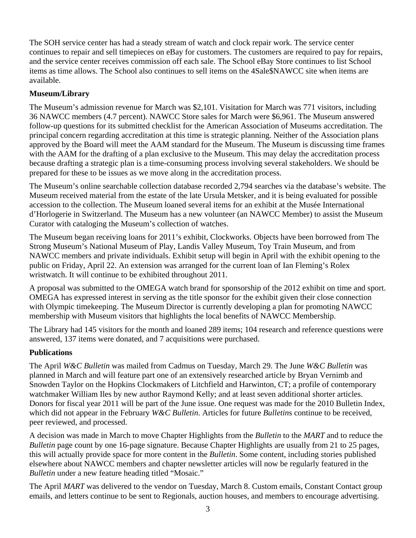The SOH service center has had a steady stream of watch and clock repair work. The service center continues to repair and sell timepieces on eBay for customers. The customers are required to pay for repairs, and the service center receives commission off each sale. The School eBay Store continues to list School items as time allows. The School also continues to sell items on the 4Sale\$NAWCC site when items are available.

# **Museum/Library**

The Museum's admission revenue for March was \$2,101. Visitation for March was 771 visitors, including 36 NAWCC members (4.7 percent). NAWCC Store sales for March were \$6,961. The Museum answered follow-up questions for its submitted checklist for the American Association of Museums accreditation. The principal concern regarding accreditation at this time is strategic planning. Neither of the Association plans approved by the Board will meet the AAM standard for the Museum. The Museum is discussing time frames with the AAM for the drafting of a plan exclusive to the Museum. This may delay the accreditation process because drafting a strategic plan is a time-consuming process involving several stakeholders. We should be prepared for these to be issues as we move along in the accreditation process.

The Museum's online searchable collection database recorded 2,794 searches via the database's website. The Museum received material from the estate of the late Ursula Metsker, and it is being evaluated for possible accession to the collection. The Museum loaned several items for an exhibit at the Musée International d'Horlogerie in Switzerland. The Museum has a new volunteer (an NAWCC Member) to assist the Museum Curator with cataloging the Museum's collection of watches.

The Museum began receiving loans for 2011's exhibit, Clockworks. Objects have been borrowed from The Strong Museum's National Museum of Play, Landis Valley Museum, Toy Train Museum, and from NAWCC members and private individuals. Exhibit setup will begin in April with the exhibit opening to the public on Friday, April 22. An extension was arranged for the current loan of Ian Fleming's Rolex wristwatch. It will continue to be exhibited throughout 2011.

A proposal was submitted to the OMEGA watch brand for sponsorship of the 2012 exhibit on time and sport. OMEGA has expressed interest in serving as the title sponsor for the exhibit given their close connection with Olympic timekeeping. The Museum Director is currently developing a plan for promoting NAWCC membership with Museum visitors that highlights the local benefits of NAWCC Membership.

The Library had 145 visitors for the month and loaned 289 items; 104 research and reference questions were answered, 137 items were donated, and 7 acquisitions were purchased.

### **Publications**

The April *W&C Bulletin* was mailed from Cadmus on Tuesday, March 29. The June *W&C Bulletin* was planned in March and will feature part one of an extensively researched article by Bryan Vernimb and Snowden Taylor on the Hopkins Clockmakers of Litchfield and Harwinton, CT; a profile of contemporary watchmaker William Iles by new author Raymond Kelly; and at least seven additional shorter articles. Donors for fiscal year 2011 will be part of the June issue. One request was made for the 2010 Bulletin Index, which did not appear in the February *W&C Bulletin*. Articles for future *Bulletin*s continue to be received, peer reviewed, and processed.

A decision was made in March to move Chapter Highlights from the *Bulletin* to the *MART* and to reduce the *Bulletin* page count by one 16-page signature. Because Chapter Highlights are usually from 21 to 25 pages, this will actually provide space for more content in the *Bulletin*. Some content, including stories published elsewhere about NAWCC members and chapter newsletter articles will now be regularly featured in the *Bulletin* under a new feature heading titled "Mosaic."

The April *MART* was delivered to the vendor on Tuesday, March 8. Custom emails, Constant Contact group emails, and letters continue to be sent to Regionals, auction houses, and members to encourage advertising.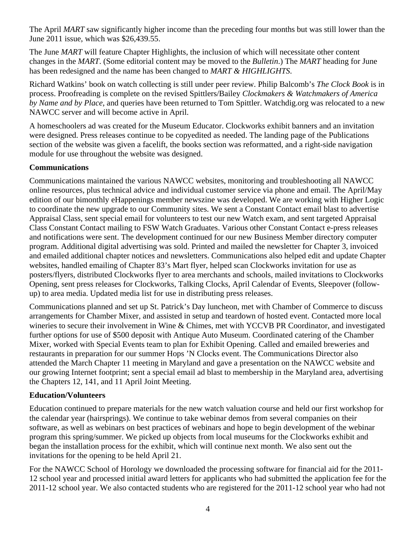The April *MART* saw significantly higher income than the preceding four months but was still lower than the June 2011 issue, which was \$26,439.55.

The June *MART* will feature Chapter Highlights, the inclusion of which will necessitate other content changes in the *MART*. (Some editorial content may be moved to the *Bulletin*.) The *MART* heading for June has been redesigned and the name has been changed to *MART & HIGHLIGHTS*.

Richard Watkins' book on watch collecting is still under peer review. Philip Balcomb's *The Clock Book* is in process. Proofreading is complete on the revised Spittlers/Bailey *Clockmakers & Watchmakers of America by Name and by Place*, and queries have been returned to Tom Spittler. Watchdig.org was relocated to a new NAWCC server and will become active in April.

A homeschoolers ad was created for the Museum Educator. Clockworks exhibit banners and an invitation were designed. Press releases continue to be copyedited as needed. The landing page of the Publications section of the website was given a facelift, the books section was reformatted, and a right-side navigation module for use throughout the website was designed.

### **Communications**

Communications maintained the various NAWCC websites, monitoring and troubleshooting all NAWCC online resources, plus technical advice and individual customer service via phone and email. The April/May edition of our bimonthly eHappenings member newszine was developed. We are working with Higher Logic to coordinate the new upgrade to our Community sites. We sent a Constant Contact email blast to advertise Appraisal Class, sent special email for volunteers to test our new Watch exam, and sent targeted Appraisal Class Constant Contact mailing to FSW Watch Graduates. Various other Constant Contact e-press releases and notifications were sent. The development continued for our new Business Member directory computer program. Additional digital advertising was sold. Printed and mailed the newsletter for Chapter 3, invoiced and emailed additional chapter notices and newsletters. Communications also helped edit and update Chapter websites, handled emailing of Chapter 83's Mart flyer, helped scan Clockworks invitation for use as posters/flyers, distributed Clockworks flyer to area merchants and schools, mailed invitations to Clockworks Opening, sent press releases for Clockworks, Talking Clocks, April Calendar of Events, Sleepover (followup) to area media. Updated media list for use in distributing press releases.

Communications planned and set up St. Patrick's Day luncheon, met with Chamber of Commerce to discuss arrangements for Chamber Mixer, and assisted in setup and teardown of hosted event. Contacted more local wineries to secure their involvement in Wine & Chimes, met with YCCVB PR Coordinator, and investigated further options for use of \$500 deposit with Antique Auto Museum. Coordinated catering of the Chamber Mixer, worked with Special Events team to plan for Exhibit Opening. Called and emailed breweries and restaurants in preparation for our summer Hops 'N Clocks event. The Communications Director also attended the March Chapter 11 meeting in Maryland and gave a presentation on the NAWCC website and our growing Internet footprint; sent a special email ad blast to membership in the Maryland area, advertising the Chapters 12, 141, and 11 April Joint Meeting.

### **Education/Volunteers**

Education continued to prepare materials for the new watch valuation course and held our first workshop for the calendar year (hairsprings). We continue to take webinar demos from several companies on their software, as well as webinars on best practices of webinars and hope to begin development of the webinar program this spring/summer. We picked up objects from local museums for the Clockworks exhibit and began the installation process for the exhibit, which will continue next month. We also sent out the invitations for the opening to be held April 21.

For the NAWCC School of Horology we downloaded the processing software for financial aid for the 2011- 12 school year and processed initial award letters for applicants who had submitted the application fee for the 2011-12 school year. We also contacted students who are registered for the 2011-12 school year who had not